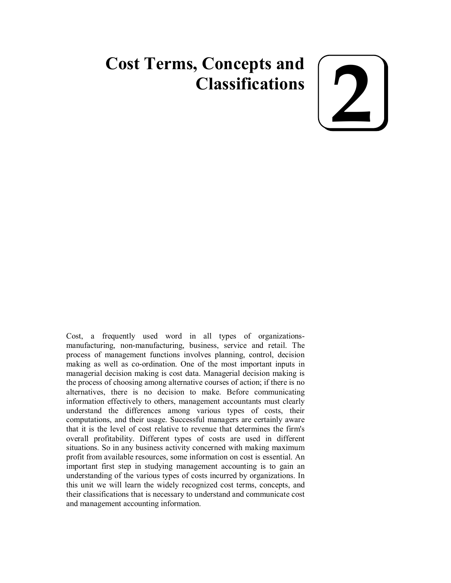# **Cost Terms, Concepts and Classifications**

**2**

Cost, a frequently used word in all types of organizationsmanufacturing, non-manufacturing, business, service and retail. The process of management functions involves planning, control, decision making as well as co-ordination. One of the most important inputs in managerial decision making is cost data. Managerial decision making is the process of choosing among alternative courses of action; if there is no alternatives, there is no decision to make. Before communicating information effectively to others, management accountants must clearly understand the differences among various types of costs, their computations, and their usage. Successful managers are certainly aware that it is the level of cost relative to revenue that determines the firm's overall profitability. Different types of costs are used in different situations. So in any business activity concerned with making maximum profit from available resources, some information on cost is essential. An important first step in studying management accounting is to gain an understanding of the various types of costs incurred by organizations. In this unit we will learn the widely recognized cost terms, concepts, and their classifications that is necessary to understand and communicate cost and management accounting information.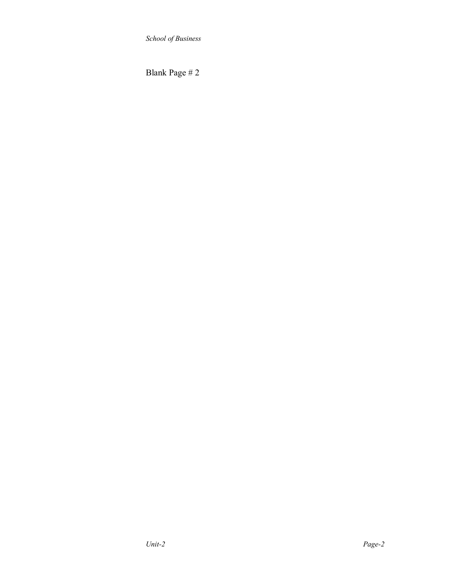Blank Page # 2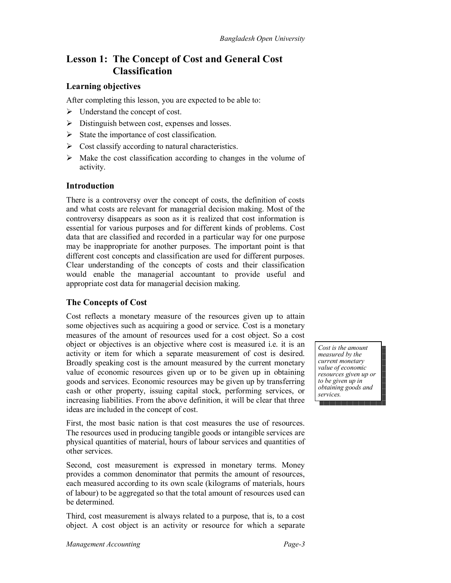# **Lesson 1: The Concept of Cost and General Cost Classification**

### **Learning objectives**

After completing this lesson, you are expected to be able to:

- $\triangleright$  Understand the concept of cost.
- $\triangleright$  Distinguish between cost, expenses and losses.
- $\triangleright$  State the importance of cost classification.
- $\triangleright$  Cost classify according to natural characteristics.
- $\triangleright$  Make the cost classification according to changes in the volume of activity.

### **Introduction**

There is a controversy over the concept of costs, the definition of costs and what costs are relevant for managerial decision making. Most of the controversy disappears as soon as it is realized that cost information is essential for various purposes and for different kinds of problems. Cost data that are classified and recorded in a particular way for one purpose may be inappropriate for another purposes. The important point is that different cost concepts and classification are used for different purposes. Clear understanding of the concepts of costs and their classification would enable the managerial accountant to provide useful and appropriate cost data for managerial decision making.

### **The Concepts of Cost**

Cost reflects a monetary measure of the resources given up to attain some objectives such as acquiring a good or service. Cost is a monetary measures of the amount of resources used for a cost object. So a cost object or objectives is an objective where cost is measured i.e. it is an activity or item for which a separate measurement of cost is desired. Broadly speaking cost is the amount measured by the current monetary value of economic resources given up or to be given up in obtaining goods and services. Economic resources may be given up by transferring cash or other property, issuing capital stock, performing services, or increasing liabilities. From the above definition, it will be clear that three ideas are included in the concept of cost.

First, the most basic nation is that cost measures the use of resources. The resources used in producing tangible goods or intangible services are physical quantities of material, hours of labour services and quantities of other services.

Second, cost measurement is expressed in monetary terms. Money provides a common denominator that permits the amount of resources, each measured according to its own scale (kilograms of materials, hours of labour) to be aggregated so that the total amount of resources used can be determined.

Third, cost measurement is always related to a purpose, that is, to a cost object. A cost object is an activity or resource for which a separate

*Cost is the amount measured by the current monetary value of economic resources given up or to be given up in obtaining goods and services.*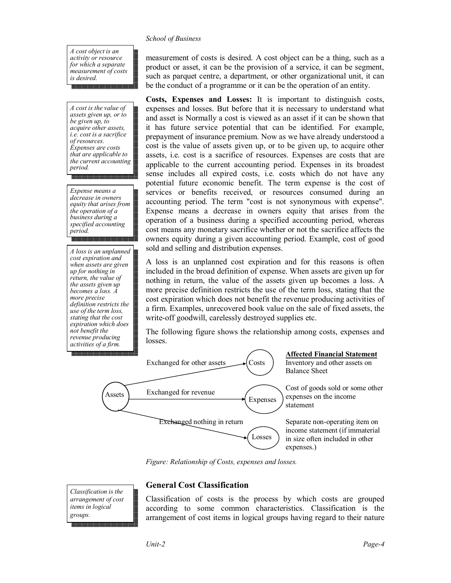*A cost object is an activity or resource for which a separate measurement of costs is desired.*

*A cost is the value of assets given up, or to be given up, to acquire other assets, i.e. cost is a sacrifice of resources. Expenses are costs that are applicable to the current accounting period.*

*Expense means a decrease in owners equity that arises from the operation of a business during a specified accounting period.*

*A loss is an unplanned cost expiration and when assets are given up for nothing in return, the value of the assets given up becomes a loss. A more precise definition restricts the use of the term loss, stating that the cost expiration which does not benefit the revenue producing activities of a firm.*

measurement of costs is desired. A cost object can be a thing, such as a product or asset, it can be the provision of a service, it can be segment, such as parquet centre, a department, or other organizational unit, it can be the conduct of a programme or it can be the operation of an entity.

**Costs, Expenses and Losses:** It is important to distinguish costs, expenses and losses. But before that it is necessary to understand what and asset is Normally a cost is viewed as an asset if it can be shown that it has future service potential that can be identified. For example, prepayment of insurance premium. Now as we have already understood a cost is the value of assets given up, or to be given up, to acquire other assets, i.e. cost is a sacrifice of resources. Expenses are costs that are applicable to the current accounting period. Expenses in its broadest sense includes all expired costs, i.e. costs which do not have any potential future economic benefit. The term expense is the cost of services or benefits received, or resources consumed during an accounting period. The term "cost is not synonymous with expense". Expense means a decrease in owners equity that arises from the operation of a business during a specified accounting period, whereas cost means any monetary sacrifice whether or not the sacrifice affects the owners equity during a given accounting period. Example, cost of good sold and selling and distribution expenses.

A loss is an unplanned cost expiration and for this reasons is often included in the broad definition of expense. When assets are given up for nothing in return, the value of the assets given up becomes a loss. A more precise definition restricts the use of the term loss, stating that the cost expiration which does not benefit the revenue producing activities of a firm. Examples, unrecovered book value on the sale of fixed assets, the write-off goodwill, carelessly destroyed supplies etc.

The following figure shows the relationship among costs, expenses and losses.



*Figure: Relationship of Costs, expenses and losses.*

*Classification is the arrangement of cost items in logical groups.*

### **General Cost Classification**

Classification of costs is the process by which costs are grouped according to some common characteristics. Classification is the arrangement of cost items in logical groups having regard to their nature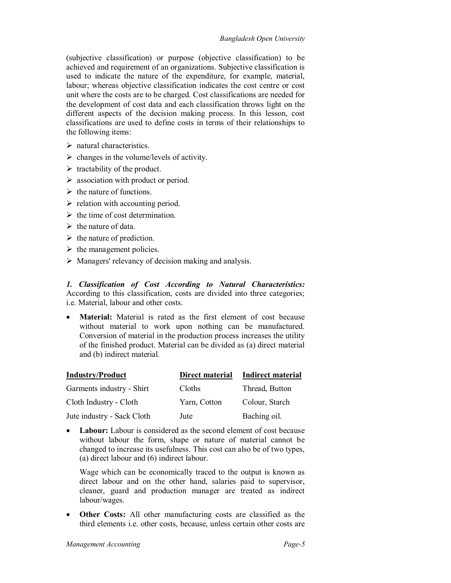(subjective classification) or purpose (objective classification) to be achieved and requirement of an organizations. Subjective classification is used to indicate the nature of the expenditure, for example, material, labour; whereas objective classification indicates the cost centre or cost unit where the costs are to be charged. Cost classifications are needed for the development of cost data and each classification throws light on the different aspects of the decision making process. In this lesson, cost classifications are used to define costs in terms of their relationships to the following items:

- $\triangleright$  natural characteristics.
- $\triangleright$  changes in the volume/levels of activity.
- $\triangleright$  tractability of the product.
- $\triangleright$  association with product or period.
- $\triangleright$  the nature of functions.
- $\triangleright$  relation with accounting period.
- $\triangleright$  the time of cost determination.
- $\triangleright$  the nature of data.
- $\triangleright$  the nature of prediction.
- $\triangleright$  the management policies.
- $\triangleright$  Managers' relevancy of decision making and analysis.

*1. Classification of Cost According to Natural Characteristics:* According to this classification, costs are divided into three categories; i.e. Material, labour and other costs.

 **Material:** Material is rated as the first element of cost because without material to work upon nothing can be manufactured. Conversion of material in the production process increases the utility of the finished product. Material can be divided as (a) direct material and (b) indirect material.

| <b>Industry/Product</b>    | Direct material | <b>Indirect material</b> |
|----------------------------|-----------------|--------------------------|
| Garments industry - Shirt  | Cloths          | Thread, Button           |
| Cloth Industry - Cloth     | Yarn, Cotton    | Colour, Starch           |
| Jute industry - Sack Cloth | Jute            | Baching oil.             |

• Labour: Labour is considered as the second element of cost because without labour the form, shape or nature of material cannot be changed to increase its usefulness. This cost can also be of two types, (a) direct labour and (6) indirect labour.

Wage which can be economically traced to the output is known as direct labour and on the other hand, salaries paid to supervisor, cleaner, guard and production manager are treated as indirect labour/wages.

 **Other Costs:** All other manufacturing costs are classified as the third elements i.e. other costs, because, unless certain other costs are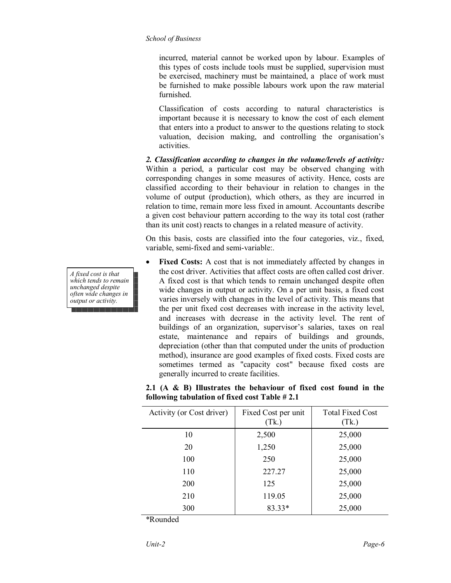incurred, material cannot be worked upon by labour. Examples of this types of costs include tools must be supplied, supervision must be exercised, machinery must be maintained, a place of work must be furnished to make possible labours work upon the raw material furnished.

Classification of costs according to natural characteristics is important because it is necessary to know the cost of each element that enters into a product to answer to the questions relating to stock valuation, decision making, and controlling the organisation's activities.

*2. Classification according to changes in the volume/levels of activity:* Within a period, a particular cost may be observed changing with corresponding changes in some measures of activity. Hence, costs are classified according to their behaviour in relation to changes in the volume of output (production), which others, as they are incurred in relation to time, remain more less fixed in amount. Accountants describe a given cost behaviour pattern according to the way its total cost (rather than its unit cost) reacts to changes in a related measure of activity.

On this basis, costs are classified into the four categories, viz., fixed, variable, semi-fixed and semi-variable:.

 **Fixed Costs:** A cost that is not immediately affected by changes in the cost driver. Activities that affect costs are often called cost driver. A fixed cost is that which tends to remain unchanged despite often wide changes in output or activity. On a per unit basis, a fixed cost varies inversely with changes in the level of activity. This means that the per unit fixed cost decreases with increase in the activity level, and increases with decrease in the activity level. The rent of buildings of an organization, supervisor's salaries, taxes on real estate, maintenance and repairs of buildings and grounds, depreciation (other than that computed under the units of production method), insurance are good examples of fixed costs. Fixed costs are sometimes termed as "capacity cost" because fixed costs are generally incurred to create facilities.

| Activity (or Cost driver) | Fixed Cost per unit<br>(Tk.) | <b>Total Fixed Cost</b><br>(Tk) |
|---------------------------|------------------------------|---------------------------------|
| 10                        | 2,500                        | 25,000                          |
| 20                        | 1,250                        | 25,000                          |
| 100                       | 250                          | 25,000                          |
| 110                       | 227.27                       | 25,000                          |
| 200                       | 125                          | 25,000                          |
| 210                       | 119.05                       | 25,000                          |
| 300                       | $83.33*$                     | 25,000                          |

**2.1 (A & B) Illustrates the behaviour of fixed cost found in the following tabulation of fixed cost Table # 2.1**

\*Rounded

*A fixed cost is that which tends to remain unchanged despite often wide changes in output or activity.*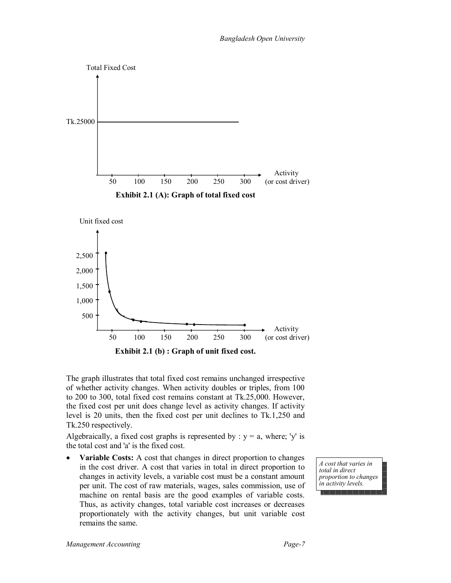

The graph illustrates that total fixed cost remains unchanged irrespective of whether activity changes. When activity doubles or triples, from 100 to 200 to 300, total fixed cost remains constant at Tk.25,000. However, the fixed cost per unit does change level as activity changes. If activity level is 20 units, then the fixed cost per unit declines to Tk.1,250 and Tk.250 respectively.

Algebraically, a fixed cost graphs is represented by :  $y = a$ , where; 'y' is the total cost and 'a' is the fixed cost.

• **Variable Costs:** A cost that changes in direct proportion to changes in the cost driver. A cost that varies in total in direct proportion to changes in activity levels, a variable cost must be a constant amount per unit. The cost of raw materials, wages, sales commission, use of machine on rental basis are the good examples of variable costs. Thus, as activity changes, total variable cost increases or decreases proportionately with the activity changes, but unit variable cost remains the same.

*A cost that varies in total in direct proportion to changes in activity levels.*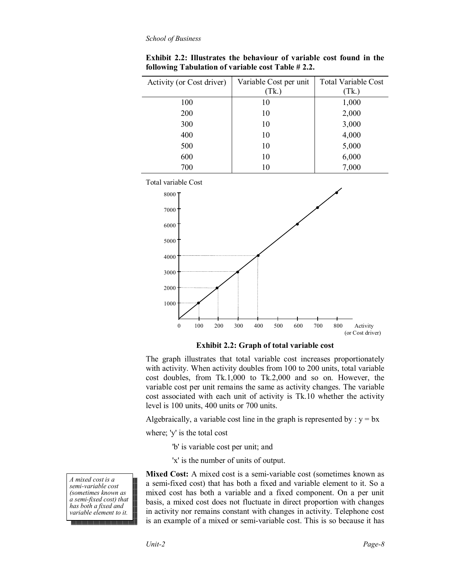| Activity (or Cost driver) | Variable Cost per unit | <b>Total Variable Cost</b> |
|---------------------------|------------------------|----------------------------|
|                           | (Tk.)                  | (Tk)                       |
| 100                       | 10                     | 1,000                      |
| 200                       | 10                     | 2,000                      |
| 300                       | 10                     | 3,000                      |
| 400                       | 10                     | 4,000                      |
| 500                       | 10                     | 5,000                      |
| 600                       | 10                     | 6,000                      |
| 700                       | 10                     | 7,000                      |

**Exhibit 2.2: Illustrates the behaviour of variable cost found in the following Tabulation of variable cost Table # 2.2.**



**Exhibit 2.2: Graph of total variable cost**

The graph illustrates that total variable cost increases proportionately with activity. When activity doubles from 100 to 200 units, total variable cost doubles, from Tk.1,000 to Tk.2,000 and so on. However, the variable cost per unit remains the same as activity changes. The variable cost associated with each unit of activity is Tk.10 whether the activity level is 100 units, 400 units or 700 units.

Algebraically, a variable cost line in the graph is represented by :  $y = bx$ 

where; 'y' is the total cost

- 'b' is variable cost per unit; and
- 'x' is the number of units of output.

*A mixed cost is a semi-variable cost (sometimes known as a semi-fixed cost) that has both a fixed and variable element to it.*

**Mixed Cost:** A mixed cost is a semi-variable cost (sometimes known as a semi-fixed cost) that has both a fixed and variable element to it. So a mixed cost has both a variable and a fixed component. On a per unit basis, a mixed cost does not fluctuate in direct proportion with changes in activity nor remains constant with changes in activity. Telephone cost is an example of a mixed or semi-variable cost. This is so because it has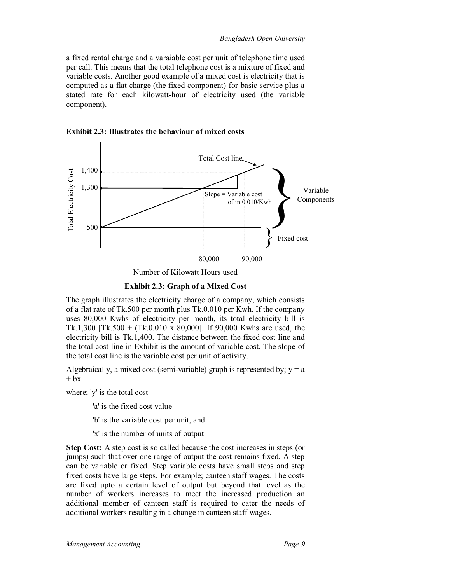a fixed rental charge and a varaiable cost per unit of telephone time used per call. This means that the total telephone cost is a mixture of fixed and variable costs. Another good example of a mixed cost is electricity that is computed as a flat charge (the fixed component) for basic service plus a stated rate for each kilowatt-hour of electricity used (the variable component).





Number of Kilowatt Hours used

**Exhibit 2.3: Graph of a Mixed Cost**

The graph illustrates the electricity charge of a company, which consists of a flat rate of Tk.500 per month plus Tk.0.010 per Kwh. If the company uses 80,000 Kwhs of electricity per month, its total electricity bill is Tk.1,300 [Tk.500 + (Tk.0.010 x 80,000]. If 90,000 Kwhs are used, the electricity bill is Tk.1,400. The distance between the fixed cost line and the total cost line in Exhibit is the amount of variable cost. The slope of the total cost line is the variable cost per unit of activity.

Algebraically, a mixed cost (semi-variable) graph is represented by;  $y = a$  $+$  bx

where; 'y' is the total cost

'a' is the fixed cost value

'b' is the variable cost per unit, and

'x' is the number of units of output

**Step Cost:** A step cost is so called because the cost increases in steps (or jumps) such that over one range of output the cost remains fixed. A step can be variable or fixed. Step variable costs have small steps and step fixed costs have large steps. For example; canteen staff wages. The costs are fixed upto a certain level of output but beyond that level as the number of workers increases to meet the increased production an additional member of canteen staff is required to cater the needs of additional workers resulting in a change in canteen staff wages.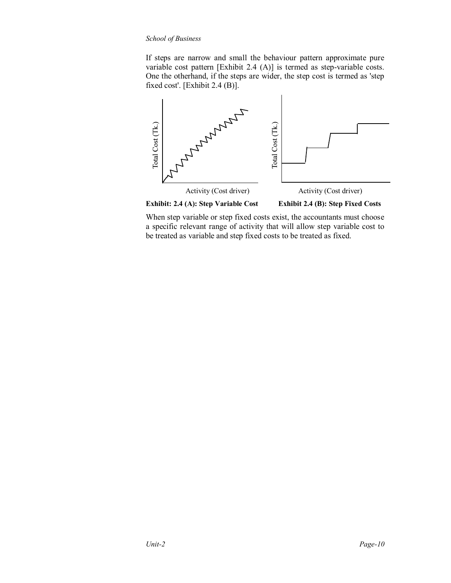If steps are narrow and small the behaviour pattern approximate pure variable cost pattern [Exhibit 2.4 (A)] is termed as step-variable costs. One the otherhand, if the steps are wider, the step cost is termed as 'step fixed cost'. [Exhibit 2.4 (B)].



**Exhibit: 2.4 (A): Step Variable Cost Exhibit 2.4 (B): Step Fixed Costs**

When step variable or step fixed costs exist, the accountants must choose a specific relevant range of activity that will allow step variable cost to be treated as variable and step fixed costs to be treated as fixed.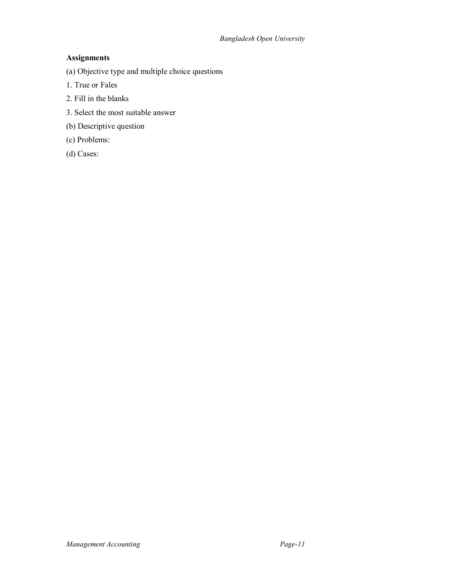# **Assignments**

(a) Objective type and multiple choice questions

- 1. True or Fales
- 2. Fill in the blanks
- 3. Select the most suitable answer
- (b) Descriptive question
- (c) Problems:
- (d) Cases: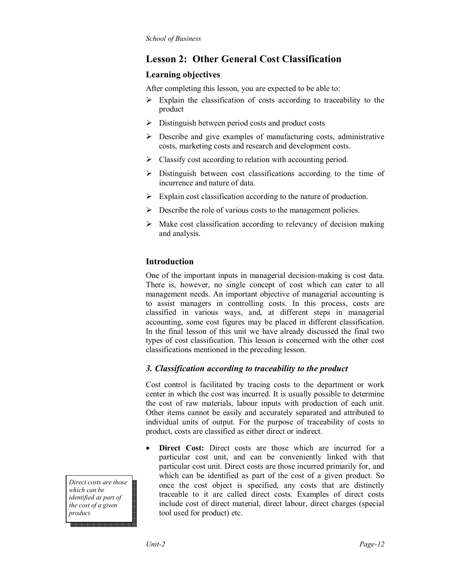# **Lesson 2: Other General Cost Classification**

# **Learning objectives**

After completing this lesson, you are expected to be able to:

- $\triangleright$  Explain the classification of costs according to traceability to the product
- $\triangleright$  Distinguish between period costs and product costs
- $\triangleright$  Describe and give examples of manufacturing costs, administrative costs, marketing costs and research and development costs.
- $\triangleright$  Classify cost according to relation with accounting period.
- $\triangleright$  Distinguish between cost classifications according to the time of incurrence and nature of data.
- $\triangleright$  Explain cost classification according to the nature of production.
- $\triangleright$  Describe the role of various costs to the management policies.
- $\triangleright$  Make cost classification according to relevancy of decision making and analysis.

# **Introduction**

One of the important inputs in managerial decision-making is cost data. There is, however, no single concept of cost which can cater to all management needs. An important objective of managerial accounting is to assist managers in controlling costs. In this process, costs are classified in various ways, and, at different steps in managerial accounting, some cost figures may be placed in different classification. In the final lesson of this unit we have already discussed the final two types of cost classification. This lesson is concerned with the other cost classifications mentioned in the preceding lesson.

# *3. Classification according to traceability to the product*

Cost control is facilitated by tracing costs to the department or work center in which the cost was incurred. It is usually possible to determine the cost of raw materials, labour inputs with production of each unit. Other items cannot be easily and accurately separated and attributed to individual units of output. For the purpose of traceability of costs to product, costs are classified as either direct or indirect.

 **Direct Cost:** Direct costs are those which are incurred for a particular cost unit, and can be conveniently linked with that particular cost unit. Direct costs are those incurred primarily for, and which can be identified as part of the cost of a given product. So once the cost object is specified, any costs that are distinctly traceable to it are called direct costs. Examples of direct costs include cost of direct material, direct labour, direct charges (special tool used for product) etc.

*Direct costs are those which can be identified as part of the cost of a given product.*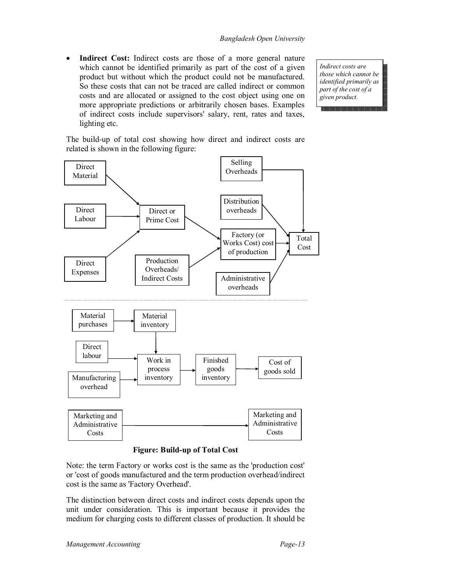**Indirect Cost:** Indirect costs are those of a more general nature which cannot be identified primarily as part of the cost of a given product but without which the product could not be manufactured. So these costs that can not be traced are called indirect or common costs and are allocated or assigned to the cost object using one on more appropriate predictions or arbitrarily chosen bases. Examples of indirect costs include supervisors' salary, rent, rates and taxes, lighting etc.

*Indirect costs are those which cannot be identified primarily as part of the cost of a given product.*

The build-up of total cost showing how direct and indirect costs are related is shown in the following figure:



### **Figure: Build-up of Total Cost**

Note: the term Factory or works cost is the same as the 'production cost' or 'cost of goods manufactured and the term production overhead/indirect cost is the same as 'Factory Overhead'.

The distinction between direct costs and indirect costs depends upon the unit under consideration. This is important because it provides the medium for charging costs to different classes of production. It should be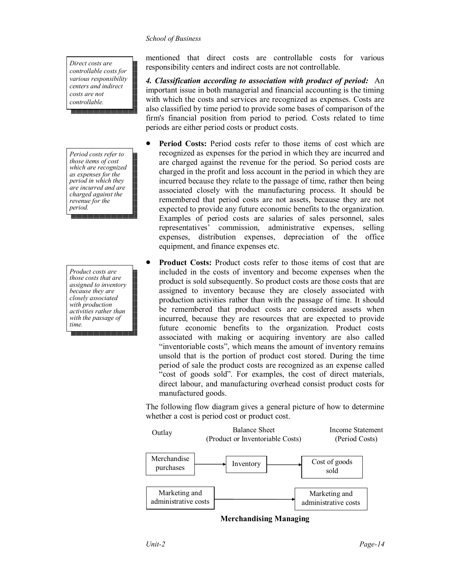*Direct costs are controllable costs for various responsibility centers and indirect costs are not controllable.*

*Period costs refer to those items of cost which are recognized as expenses for the period in which they are incurred and are charged against the revenue for the period.*

*Product costs are those costs that are assigned to inventory because they are closely associated with production activities rather than with the passage of time.*

mentioned that direct costs are controllable costs for various responsibility centers and indirect costs are not controllable.

*4. Classification according to association with product of period:* An important issue in both managerial and financial accounting is the timing with which the costs and services are recognized as expenses. Costs are also classified by time period to provide some bases of comparison of the firm's financial position from period to period. Costs related to time periods are either period costs or product costs.

- **Period Costs:** Period costs refer to those items of cost which are recognized as expenses for the period in which they are incurred and are charged against the revenue for the period. So period costs are charged in the profit and loss account in the period in which they are incurred because they relate to the passage of time, rather then being associated closely with the manufacturing process. It should be remembered that period costs are not assets, because they are not expected to provide any future economic benefits to the organization. Examples of period costs are salaries of sales personnel, sales representatives' commission, administrative expenses, selling expenses, distribution expenses, depreciation of the office equipment, and finance expenses etc.
- **Product Costs:** Product costs refer to those items of cost that are included in the costs of inventory and become expenses when the product is sold subsequently. So product costs are those costs that are assigned to inventory because they are closely associated with production activities rather than with the passage of time. It should be remembered that product costs are considered assets when incurred, because they are resources that are expected to provide future economic benefits to the organization. Product costs associated with making or acquiring inventory are also called "inventoriable costs", which means the amount of inventory remains unsold that is the portion of product cost stored. During the time period of sale the product costs are recognized as an expense called "cost of goods sold". For examples, the cost of direct materials, direct labour, and manufacturing overhead consist product costs for manufactured goods.

The following flow diagram gives a general picture of how to determine whether a cost is period cost or product cost.



**Merchandising Managing**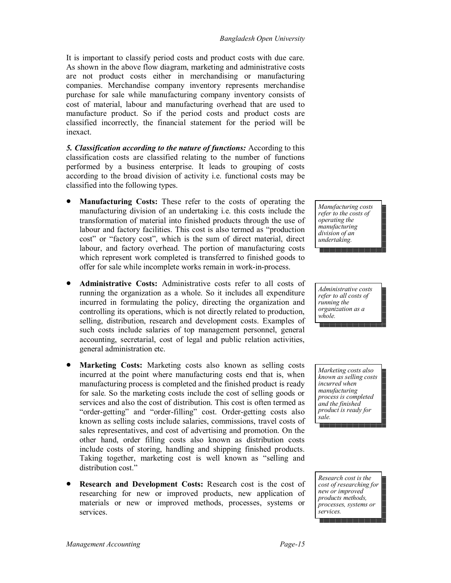It is important to classify period costs and product costs with due care. As shown in the above flow diagram, marketing and administrative costs are not product costs either in merchandising or manufacturing companies. Merchandise company inventory represents merchandise purchase for sale while manufacturing company inventory consists of cost of material, labour and manufacturing overhead that are used to manufacture product. So if the period costs and product costs are classified incorrectly, the financial statement for the period will be inexact.

*5. Classification according to the nature of functions:* According to this classification costs are classified relating to the number of functions performed by a business enterprise. It leads to grouping of costs according to the broad division of activity i.e. functional costs may be classified into the following types.

- **Manufacturing Costs:** These refer to the costs of operating the manufacturing division of an undertaking i.e. this costs include the transformation of material into finished products through the use of labour and factory facilities. This cost is also termed as "production cost" or "factory cost", which is the sum of direct material, direct labour, and factory overhead. The portion of manufacturing costs which represent work completed is transferred to finished goods to offer for sale while incomplete works remain in work-in-process.
- **Administrative Costs:** Administrative costs refer to all costs of running the organization as a whole. So it includes all expenditure incurred in formulating the policy, directing the organization and controlling its operations, which is not directly related to production, selling, distribution, research and development costs. Examples of such costs include salaries of top management personnel, general accounting, secretarial, cost of legal and public relation activities, general administration etc.
- **Marketing Costs:** Marketing costs also known as selling costs incurred at the point where manufacturing costs end that is, when manufacturing process is completed and the finished product is ready for sale. So the marketing costs include the cost of selling goods or services and also the cost of distribution. This cost is often termed as "order-getting" and "order-filling" cost. Order-getting costs also known as selling costs include salaries, commissions, travel costs of sales representatives, and cost of advertising and promotion. On the other hand, order filling costs also known as distribution costs include costs of storing, handling and shipping finished products. Taking together, marketing cost is well known as "selling and distribution cost."
- **Research and Development Costs:** Research cost is the cost of researching for new or improved products, new application of materials or new or improved methods, processes, systems or services.

*Manufacturing costs refer to the costs of operating the manufacturing division of an undertaking.*

*Administrative costs refer to all costs of running the organization as a whole.*

*Marketing costs also known as selling costs incurred when manufacturing process is completed and the finished product is ready for sale.*

*Research cost is the cost of researching for new or improved products methods, processes, systems or services.*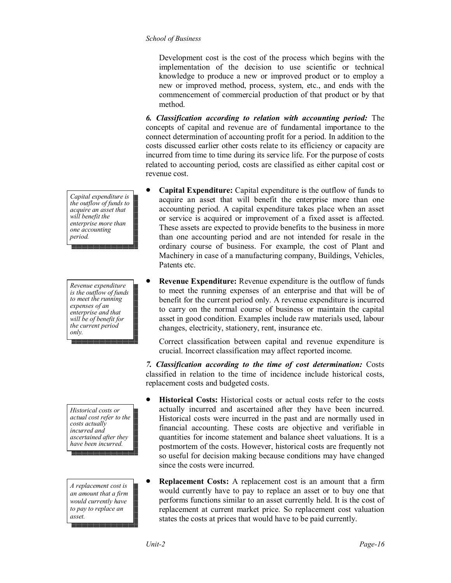Development cost is the cost of the process which begins with the implementation of the decision to use scientific or technical knowledge to produce a new or improved product or to employ a new or improved method, process, system, etc., and ends with the commencement of commercial production of that product or by that method.

*6. Classification according to relation with accounting period:* The concepts of capital and revenue are of fundamental importance to the connect determination of accounting profit for a period. In addition to the costs discussed earlier other costs relate to its efficiency or capacity are incurred from time to time during its service life. For the purpose of costs related to accounting period, costs are classified as either capital cost or revenue cost.

- **Capital Expenditure:** Capital expenditure is the outflow of funds to acquire an asset that will benefit the enterprise more than one accounting period. A capital expenditure takes place when an asset or service is acquired or improvement of a fixed asset is affected. These assets are expected to provide benefits to the business in more than one accounting period and are not intended for resale in the ordinary course of business. For example, the cost of Plant and Machinery in case of a manufacturing company, Buildings, Vehicles, Patents etc.
- **Revenue Expenditure:** Revenue expenditure is the outflow of funds to meet the running expenses of an enterprise and that will be of benefit for the current period only. A revenue expenditure is incurred to carry on the normal course of business or maintain the capital asset in good condition. Examples include raw materials used, labour changes, electricity, stationery, rent, insurance etc.

Correct classification between capital and revenue expenditure is crucial. Incorrect classification may affect reported income.

*7. Classification according to the time of cost determination:* Costs classified in relation to the time of incidence include historical costs, replacement costs and budgeted costs.

- **Historical Costs:** Historical costs or actual costs refer to the costs actually incurred and ascertained after they have been incurred. Historical costs were incurred in the past and are normally used in financial accounting. These costs are objective and verifiable in quantities for income statement and balance sheet valuations. It is a postmortem of the costs. However, historical costs are frequently not so useful for decision making because conditions may have changed since the costs were incurred.
- **Replacement Costs:** A replacement cost is an amount that a firm would currently have to pay to replace an asset or to buy one that performs functions similar to an asset currently held. It is the cost of replacement at current market price. So replacement cost valuation states the costs at prices that would have to be paid currently.

*Capital expenditure is the outflow of funds to acquire an asset that will benefit the enterprise more than one accounting period.*

*Revenue expenditure is the outflow of funds to meet the running expenses of an enterprise and that will be of benefit for the current period only.*

*Historical costs or actual cost refer to the costs actually incurred and ascertained after they have been incurred.*

*A replacement cost is an amount that a firm would currently have to pay to replace an asset.*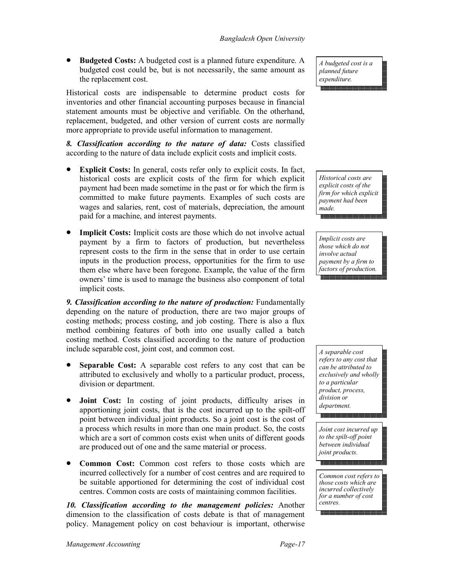**Budgeted Costs:** A budgeted cost is a planned future expenditure. A budgeted cost could be, but is not necessarily, the same amount as the replacement cost.

Historical costs are indispensable to determine product costs for inventories and other financial accounting purposes because in financial statement amounts must be objective and verifiable. On the otherhand, replacement, budgeted, and other version of current costs are normally more appropriate to provide useful information to management.

*8. Classification according to the nature of data:* Costs classified according to the nature of data include explicit costs and implicit costs.

- **Explicit Costs:** In general, costs refer only to explicit costs. In fact, historical costs are explicit costs of the firm for which explicit payment had been made sometime in the past or for which the firm is committed to make future payments. Examples of such costs are wages and salaries, rent, cost of materials, depreciation, the amount paid for a machine, and interest payments.
- **Implicit Costs:** Implicit costs are those which do not involve actual payment by a firm to factors of production, but nevertheless represent costs to the firm in the sense that in order to use certain inputs in the production process, opportunities for the firm to use them else where have been foregone. Example, the value of the firm owners' time is used to manage the business also component of total implicit costs.

**9. Classification according to the nature of production:** Fundamentally depending on the nature of production, there are two major groups of costing methods; process costing, and job costing. There is also a flux method combining features of both into one usually called a batch costing method. Costs classified according to the nature of production include separable cost, joint cost, and common cost.

- **Separable Cost:** A separable cost refers to any cost that can be attributed to exclusively and wholly to a particular product, process, division or department.
- **Joint Cost:** In costing of joint products, difficulty arises in apportioning joint costs, that is the cost incurred up to the spilt-off point between individual joint products. So a joint cost is the cost of a process which results in more than one main product. So, the costs which are a sort of common costs exist when units of different goods are produced out of one and the same material or process.
- **Common Cost:** Common cost refers to those costs which are incurred collectively for a number of cost centres and are required to be suitable apportioned for determining the cost of individual cost centres. Common costs are costs of maintaining common facilities.

*10. Classification according to the management policies:* Another dimension to the classification of costs debate is that of management policy. Management policy on cost behaviour is important, otherwise *A budgeted cost is a planned future expenditure.*

*Historical costs are explicit costs of the firm for which explicit payment had been made.*

*Implicit costs are those which do not involve actual payment by a firm to factors of production.*

*A separable cost refers to any cost that can be attributed to exclusively and wholly to a particular product, process, division or department.*

*Joint cost incurred up to the spilt-off point between individual joint products.*

*Common cost refers to those costs which are incurred collectively for a number of cost centres.*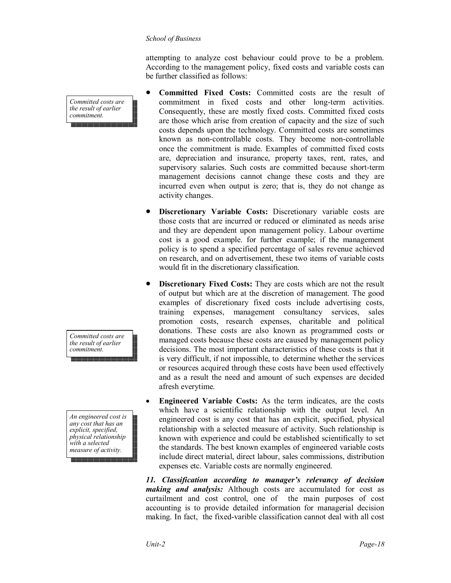attempting to analyze cost behaviour could prove to be a problem. According to the management policy, fixed costs and variable costs can be further classified as follows:

- **Committed Fixed Costs:** Committed costs are the result of commitment in fixed costs and other long-term activities. Consequently, these are mostly fixed costs. Committed fixed costs are those which arise from creation of capacity and the size of such costs depends upon the technology. Committed costs are sometimes known as non-controllable costs. They become non-controllable once the commitment is made. Examples of committed fixed costs are, depreciation and insurance, property taxes, rent, rates, and supervisory salaries. Such costs are committed because short-term management decisions cannot change these costs and they are incurred even when output is zero; that is, they do not change as activity changes.
- **Discretionary Variable Costs:** Discretionary variable costs are those costs that are incurred or reduced or eliminated as needs arise and they are dependent upon management policy. Labour overtime cost is a good example. for further example; if the management policy is to spend a specified percentage of sales revenue achieved on research, and on advertisement, these two items of variable costs would fit in the discretionary classification.
- **Discretionary Fixed Costs:** They are costs which are not the result of output but which are at the discretion of management. The good examples of discretionary fixed costs include advertising costs, training expenses, management consultancy services, sales promotion costs, research expenses, charitable and political donations. These costs are also known as programmed costs or managed costs because these costs are caused by management policy decisions. The most important characteristics of these costs is that it is very difficult, if not impossible, to determine whether the services or resources acquired through these costs have been used effectively and as a result the need and amount of such expenses are decided afresh everytime.
- **Engineered Variable Costs:** As the term indicates, are the costs which have a scientific relationship with the output level. An engineered cost is any cost that has an explicit, specified, physical relationship with a selected measure of activity. Such relationship is known with experience and could be established scientifically to set the standards. The best known examples of engineered variable costs include direct material, direct labour, sales commissions, distribution expenses etc. Variable costs are normally engineered.

*11. Classification according to manager's relevancy of decision making and analysis:* Although costs are accumulated for cost as curtailment and cost control, one of the main purposes of cost accounting is to provide detailed information for managerial decision making. In fact, the fixed-varible classification cannot deal with all cost

*Committed costs are the result of earlier commitment.*

*Committed costs are the result of earlier commitment.*

*An engineered cost is any cost that has an explicit, specified, physical relationship with a selected measure of activity.*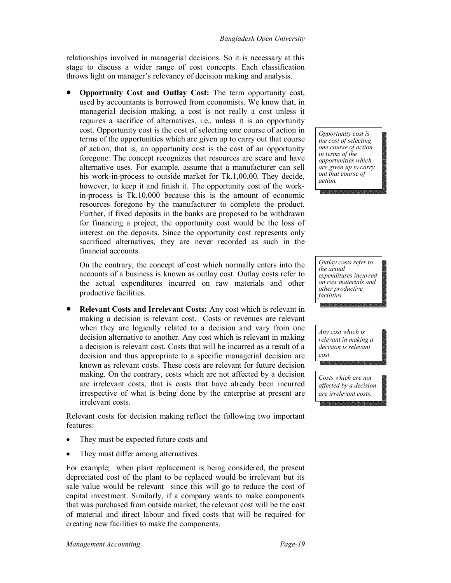relationships involved in managerial decisions. So it is necessary at this stage to discuss a wider range of cost concepts. Each classification throws light on manager's relevancy of decision making and analysis.

 **Opportunity Cost and Outlay Cost:** The term opportunity cost, used by accountants is borrowed from economists. We know that, in managerial decision making, a cost is not really a cost unless it requires a sacrifice of alternatives, i.e., unless it is an opportunity cost. Opportunity cost is the cost of selecting one course of action in terms of the opportunities which are given up to carry out that course of action; that is, an opportunity cost is the cost of an opportunity foregone. The concept recognizes that resources are scare and have alternative uses. For example, assume that a manufacturer can sell his work-in-process to outside market for Tk.1,00,00. They decide, however, to keep it and finish it. The opportunity cost of the workin-process is Tk.10,000 because this is the amount of economic resources foregone by the manufacturer to complete the product. Further, if fixed deposits in the banks are proposed to be withdrawn for financing a project, the opportunity cost would be the loss of interest on the deposits. Since the opportunity cost represents only sacrificed alternatives, they are never recorded as such in the financial accounts.

On the contrary, the concept of cost which normally enters into the accounts of a business is known as outlay cost. Outlay costs refer to the actual expenditures incurred on raw materials and other productive facilities.

 **Relevant Costs and Irrelevant Costs:** Any cost which is relevant in making a decision is relevant cost. Costs or revenues are relevant when they are logically related to a decision and vary from one decision alternative to another. Any cost which is relevant in making a decision is relevant cost. Costs that will be incurred as a result of a decision and thus appropriate to a specific managerial decision are known as relevant costs. These costs are relevant for future decision making. On the contrary, costs which are not affected by a decision are irrelevant costs, that is costs that have already been incurred irrespective of what is being done by the enterprise at present are irrelevant costs.

Relevant costs for decision making reflect the following two important features:

- They must be expected future costs and
- They must differ among alternatives.

For example; when plant replacement is being considered, the present depreciated cost of the plant to be replaced would be irrelevant but its sale value would be relevant since this will go to reduce the cost of capital investment. Similarly, if a company wants to make components that was purchased from outside market, the relevant cost will be the cost of material and direct labour and fixed costs that will be required for creating new facilities to make the components.

*Opportunity cost is the cost of selecting one course of action in terms of the opportunities which are given up to carry out that course of action.*

*Outlay costs refer to the actual expenditures incurred on raw materials and other productive facilities.*

*Any cost which is relevant in making a decision is relevant cost.*

*Costs which are not affected by a decision are irrelevant costs.*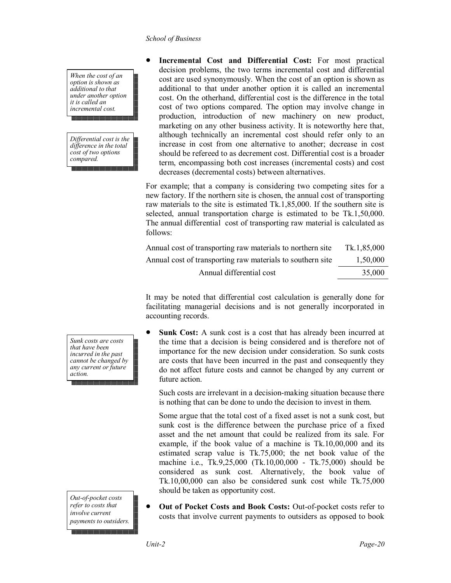*When the cost of an option is shown as additional to that under another option it is called an incremental cost.*

*Differential cost is the difference in the total cost of two options compared.*

 **Incremental Cost and Differential Cost:** For most practical decision problems, the two terms incremental cost and differential cost are used synonymously. When the cost of an option is shown as additional to that under another option it is called an incremental cost. On the otherhand, differential cost is the difference in the total cost of two options compared. The option may involve change in production, introduction of new machinery on new product, marketing on any other business activity. It is noteworthy here that, although technically an incremental cost should refer only to an increase in cost from one alternative to another; decrease in cost should be refereed to as decrement cost. Differential cost is a broader term, encompassing both cost increases (incremental costs) and cost decreases (decremental costs) between alternatives.

For example; that a company is considering two competing sites for a new factory. If the northern site is chosen, the annual cost of transporting raw materials to the site is estimated Tk.1,85,000. If the southern site is selected, annual transportation charge is estimated to be Tk.1,50,000. The annual differential cost of transporting raw material is calculated as follows:

| Annual cost of transporting raw materials to northern site | Tk.1,85,000 |
|------------------------------------------------------------|-------------|
| Annual cost of transporting raw materials to southern site | 1.50.000    |
| Annual differential cost                                   | 35,000      |

It may be noted that differential cost calculation is generally done for facilitating managerial decisions and is not generally incorporated in accounting records.

 **Sunk Cost:** A sunk cost is a cost that has already been incurred at the time that a decision is being considered and is therefore not of importance for the new decision under consideration. So sunk costs are costs that have been incurred in the past and consequently they do not affect future costs and cannot be changed by any current or future action.

Such costs are irrelevant in a decision-making situation because there is nothing that can be done to undo the decision to invest in them.

Some argue that the total cost of a fixed asset is not a sunk cost, but sunk cost is the difference between the purchase price of a fixed asset and the net amount that could be realized from its sale. For example, if the book value of a machine is Tk.10,00,000 and its estimated scrap value is Tk.75,000; the net book value of the machine i.e., Tk.9,25,000 (Tk.10,00,000 - Tk.75,000) should be considered as sunk cost. Alternatively, the book value of Tk.10,00,000 can also be considered sunk cost while Tk.75,000 should be taken as opportunity cost.

 **Out of Pocket Costs and Book Costs:** Out-of-pocket costs refer to costs that involve current payments to outsiders as opposed to book

*Sunk costs are costs that have been incurred in the past cannot be changed by any current or future action.*

*Out-of-pocket costs refer to costs that involve current payments to outsiders.*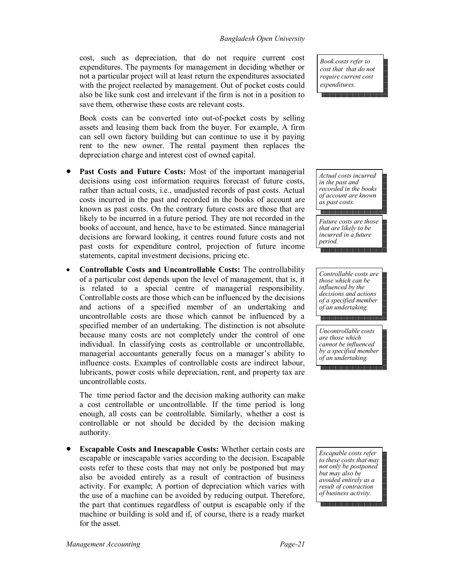cost, such as depreciation, that do not require current cost expenditures. The payments for management in deciding whether or not a particular project will at least return the expenditures associated with the project reelected by management. Out of pocket costs could also be like sunk cost and irrelevant if the firm is not in a position to save them, otherwise these costs are relevant costs.

Book costs can be converted into out-of-pocket costs by selling assets and leasing them back from the buyer. For example, A firm can sell own factory building but can continue to use it by paying rent to the new owner. The rental payment then replaces the depreciation charge and interest cost of owned capital.

- **Past Costs and Future Costs:** Most of the important managerial decisions using cost information requires forecast of future costs, rather than actual costs, i.e., unadjusted records of past costs. Actual costs incurred in the past and recorded in the books of account are known as past costs. On the contrary future costs are those that are likely to be incurred in a future period. They are not recorded in the books of account, and hence, have to be estimated. Since managerial decisions are forward looking, it centres round future costs and not past costs for expenditure control, projection of future income statements, capital investment decisions, pricing etc.
- **Controllable Costs and Uncontrollable Costs:** The controllability of a particular cost depends upon the level of management, that is, it is related to a special centre of managerial responsibility. Controllable costs are those which can be influenced by the decisions and actions of a specified member of an undertaking and uncontrollable costs are those which cannot be influenced by a specified member of an undertaking. The distinction is not absolute because many costs are not completely under the control of one individual. In classifying costs as controllable or uncontrollable, managerial accountants generally focus on a manager's ability to influence costs. Examples of controllable costs are indirect labour, lubricants, power costs while depreciation, rent, and property tax are uncontrollable costs.

The time period factor and the decision making authority can make a cost centrollable or uncontrollable. If the time period is long enough, all costs can be controllable. Similarly, whether a cost is controllable or not should be decided by the decision making authority.

 **Escapable Costs and Inescapable Costs:** Whether certain costs are escapable or inescapable varies according to the decision. Escapable costs refer to these costs that may not only be postponed but may also be avoided entirely as a result of contraction of business activity. For example; A portion of depreciation which varies with the use of a machine can be avoided by reducing output. Therefore, the part that continues regardless of output is escapable only if the machine or building is sold and if, of course, there is a ready market for the asset.

*Book costs refer to cost that that do not require current cost expenditures.*

*Actual costs incurred in the past and recorded in the books of account are known as past costs.*

*Future costs are those that are likely to be incurred in a future period.*

*Controllable costs are those which can be influenced by the decisions and actions of a specified member of an undertaking.*

*Uncontrollable costs are those which cannot be influenced by a specified member of an undertaking.*

*Escapable costs refer to these costs that may not only be postponed but may also be avoided entirely as a result of contraction of business activity.*